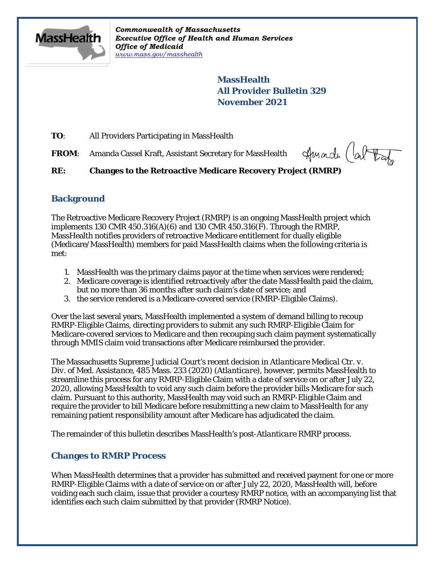

*Commonwealth of Massachusetts Executive Office of Health and Human Services Office of Medicaid [www.mass.gov/masshealth](http://www.mass.gov/masshealth)*

> **MassHealth All Provider Bulletin 329 November 2021**

**TO**: All Providers Participating in MassHealth

FROM: Amanda Cassel Kraft, Assistant Secretary for MassHealth

Amarch (about

## **RE: Changes to the Retroactive Medicare Recovery Project (RMRP)**

## **Background**

The Retroactive Medicare Recovery Project (RMRP) is an ongoing MassHealth project which implements 130 CMR 450.316(A)(6) and 130 CMR 450.316( $\overline{F}$ ). Through the RMRP, MassHealth notifies providers of retroactive Medicare entitlement for dually eligible (Medicare/MassHealth) members for paid MassHealth claims when the following criteria is met:

- 1. MassHealth was the primary claims payor at the time when services were rendered;
- 2. Medicare coverage is identified retroactively after the date MassHealth paid the claim, but no more than 36 months after such claim's date of service; and
- 3. the service rendered is a Medicare-covered service (RMRP-Eligible Claims).

Over the last several years, MassHealth implemented a system of demand billing to recoup RMRP-Eligible Claims, directing providers to submit any such RMRP-Eligible Claim for Medicare-covered services to Medicare and then recouping such claim payment systematically through MMIS claim void transactions after Medicare reimbursed the provider.

The Massachusetts Supreme Judicial Court's recent decision in *Atlanticare Medical Ctr. v. Div. of Med. Assistance*, 485 Mass. 233 (2020) (*Atlanticare)*, however, permits MassHealth to streamline this process for any RMRP-Eligible Claim with a date of service on or after July 22, 2020, allowing MassHealth to void any such claim before the provider bills Medicare for such claim. Pursuant to this authority, MassHealth may void such an RMRP-Eligible Claim and require the provider to bill Medicare before resubmitting a new claim to MassHealth for any remaining patient responsibility amount after Medicare has adjudicated the claim.

The remainder of this bulletin describes MassHealth's post-*Atlanticare* RMRP process.

## **Changes to RMRP Process**

When MassHealth determines that a provider has submitted and received payment for one or more RMRP-Eligible Claims with a date of service on or after July 22, 2020, MassHealth will, before voiding each such claim, issue that provider a courtesy RMRP notice, with an accompanying list that identifies each such claim submitted by that provider (RMRP Notice).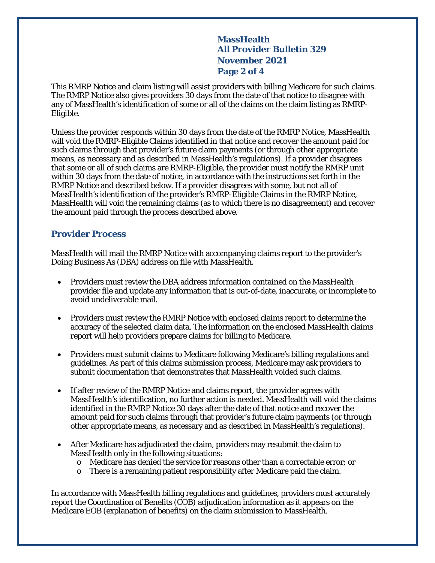# **MassHealth All Provider Bulletin 329 November 2021 Page 2 of 4**

This RMRP Notice and claim listing will assist providers with billing Medicare for such claims. The RMRP Notice also gives providers 30 days from the date of that notice to disagree with any of MassHealth's identification of some or all of the claims on the claim listing as RMRP-Eligible.

Unless the provider responds within 30 days from the date of the RMRP Notice, MassHealth will void the RMRP-Eligible Claims identified in that notice and recover the amount paid for such claims through that provider's future claim payments (or through other appropriate means, as necessary and as described in MassHealth's regulations). If a provider disagrees that some or all of such claims are RMRP-Eligible, the provider must notify the RMRP unit within 30 days from the date of notice, in accordance with the instructions set forth in the RMRP Notice and described below. If a provider disagrees with some, but not all of MassHealth's identification of the provider's RMRP-Eligible Claims in the RMRP Notice, MassHealth will void the remaining claims (as to which there is no disagreement) and recover the amount paid through the process described above.

#### **Provider Process**

MassHealth will mail the RMRP Notice with accompanying claims report to the provider's Doing Business As (DBA) address on file with MassHealth.

- Providers must review the DBA address information contained on the MassHealth provider file and update any information that is out-of-date, inaccurate, or incomplete to avoid undeliverable mail.
- Providers must review the RMRP Notice with enclosed claims report to determine the accuracy of the selected claim data. The information on the enclosed MassHealth claims report will help providers prepare claims for billing to Medicare.
- Providers must submit claims to Medicare following Medicare's billing regulations and guidelines. As part of this claims submission process, Medicare may ask providers to submit documentation that demonstrates that MassHealth voided such claims.
- If after review of the RMRP Notice and claims report, the provider agrees with MassHealth's identification, no further action is needed. MassHealth will void the claims identified in the RMRP Notice 30 days after the date of that notice and recover the amount paid for such claims through that provider's future claim payments (or through other appropriate means, as necessary and as described in MassHealth's regulations).
- After Medicare has adjudicated the claim, providers may resubmit the claim to MassHealth only in the following situations:
	- o Medicare has denied the service for reasons other than a correctable error; or
	- o There is a remaining patient responsibility after Medicare paid the claim.

In accordance with MassHealth billing regulations and guidelines, providers must accurately report the Coordination of Benefits (COB) adjudication information as it appears on the Medicare EOB (explanation of benefits) on the claim submission to MassHealth.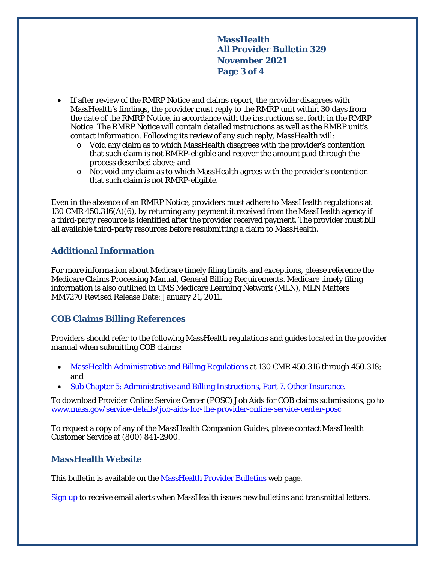**MassHealth All Provider Bulletin 329 November 2021 Page 3 of 4**

- If after review of the RMRP Notice and claims report, the provider disagrees with MassHealth's findings, the provider must reply to the RMRP unit within 30 days from the date of the RMRP Notice, in accordance with the instructions set forth in the RMRP Notice. The RMRP Notice will contain detailed instructions as well as the RMRP unit's contact information. Following its review of any such reply, MassHealth will:
	- $\circ$  Void any claim as to which MassHealth disagrees with the provider's contention that such claim is not RMRP-eligible and recover the amount paid through the process described above; and
	- o Not void any claim as to which MassHealth agrees with the provider's contention that such claim is not RMRP-eligible.

Even in the absence of an RMRP Notice, providers must adhere to MassHealth regulations at 130 CMR 450.316(A)(6), by returning any payment it received from the MassHealth agency if a third-party resource is identified after the provider received payment. The provider must bill all available third-party resources before resubmitting a claim to MassHealth.

#### **Additional Information**

For more information about Medicare timely filing limits and exceptions, please reference the Medicare Claims Processing Manual, General Billing Requirements. Medicare timely filing information is also outlined in CMS Medicare Learning Network (MLN), MLN Matters MM7270 Revised Release Date: January 21, 2011.

#### **COB Claims Billing References**

Providers should refer to the following MassHealth regulations and guides located in the provider manual when submitting COB claims:

- [MassHealth Administrative and Billing Regulations](https://www.mass.gov/regulations/130-CMR-450000-administrative-and-billing-regulations#:%7E:text=These%20Administrative%20and%20Billing%20Regulations%2C%20130%20CMR%20450.000%2C,and%20are%20often%20referred%20to%20as%20%E2%80%9Call-provider%20regulations.%E2%80%9D) at 130 CMR 450.316 through 450.318; and
- [Sub Chapter 5: Administrative and Billing Instructions, Part 7. Other Insurance.](https://www.mass.gov/doc/subchapter-5-administrative-and-billing-instructions-for-all-masshealth-providers/download)

To download Provider Online Service Center (POSC) Job Aids for COB claims submissions, go to [www.mass.gov/service-details/job-aids-for-the-provider-online-service-center-posc](http://www.mass.gov/service-details/job-aids-for-the-provider-online-service-center-posc)

To request a copy of any of the MassHealth Companion Guides, please contact MassHealth Customer Service at (800) 841-2900.

#### **MassHealth Website**

This bulletin is available on th[e MassHealth Provider Bulletins](http://www.mass.gov/masshealth-provider-bulletins) web page.

[Sign up](https://www.mass.gov/forms/email-notifications-for-masshealth-provider-bulletins-and-transmittal-letters) to receive email alerts when MassHealth issues new bulletins and transmittal letters.